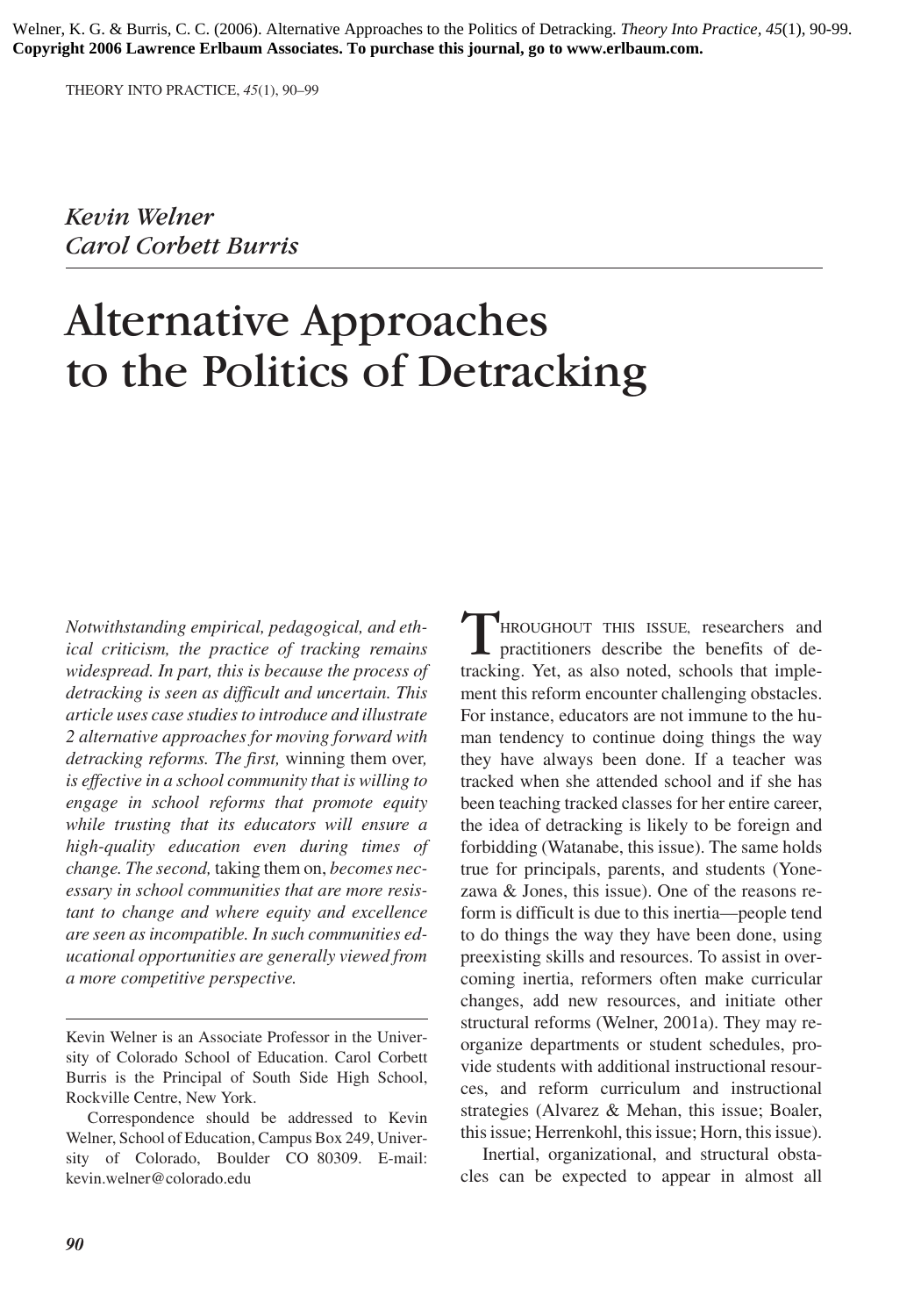Welner, K. G. & Burris, C. C. (2006). Alternative Approaches to the Politics of Detracking. *Theory Into Practice, 45*(1), 90-99. **Copyright 2006 Lawrence Erlbaum Associates. To purchase this journal, go to www.erlbaum.com.**

THEORY INTO PRACTICE, *45*(1), 90–99

*Kevin Welner Carol Corbett Burris*

# Alternative Approaches to the Politics of Detracking

*Notwithstanding empirical, pedagogical, and ethical criticism, the practice of tracking remains widespread. In part, this is because the process of detracking is seen as difficult and uncertain. This article uses case studies to introduce and illustrate 2 alternative approaches for moving forward with detracking reforms. The first,* winning them over*, is effective in a school community that is willing to engage in school reforms that promote equity while trusting that its educators will ensure a high-quality education even during times of change. The second,* taking them on, *becomes necessary in school communities that are more resistant to change and where equity and excellence are seen as incompatible. In such communities educational opportunities are generally viewed from a more competitive perspective.*

THROUGHOUT THIS ISSUE, researchers and practitioners describe the benefits of detracking. Yet, as also noted, schools that implement this reform encounter challenging obstacles. For instance, educators are not immune to the human tendency to continue doing things the way they have always been done. If a teacher was tracked when she attended school and if she has been teaching tracked classes for her entire career, the idea of detracking is likely to be foreign and forbidding (Watanabe, this issue). The same holds true for principals, parents, and students (Yonezawa & Jones, this issue). One of the reasons reform is difficult is due to this inertia—people tend to do things the way they have been done, using preexisting skills and resources. To assist in overcoming inertia, reformers often make curricular changes, add new resources, and initiate other structural reforms (Welner, 2001a). They may reorganize departments or student schedules, provide students with additional instructional resources, and reform curriculum and instructional strategies (Alvarez & Mehan, this issue; Boaler, this issue; Herrenkohl, this issue; Horn, this issue).

Inertial, organizational, and structural obstacles can be expected to appear in almost all

Kevin Welner is an Associate Professor in the University of Colorado School of Education. Carol Corbett Burris is the Principal of South Side High School, Rockville Centre, New York.

Correspondence should be addressed to Kevin Welner, School of Education, Campus Box 249, University of Colorado, Boulder CO 80309. E-mail: kevin.welner@colorado.edu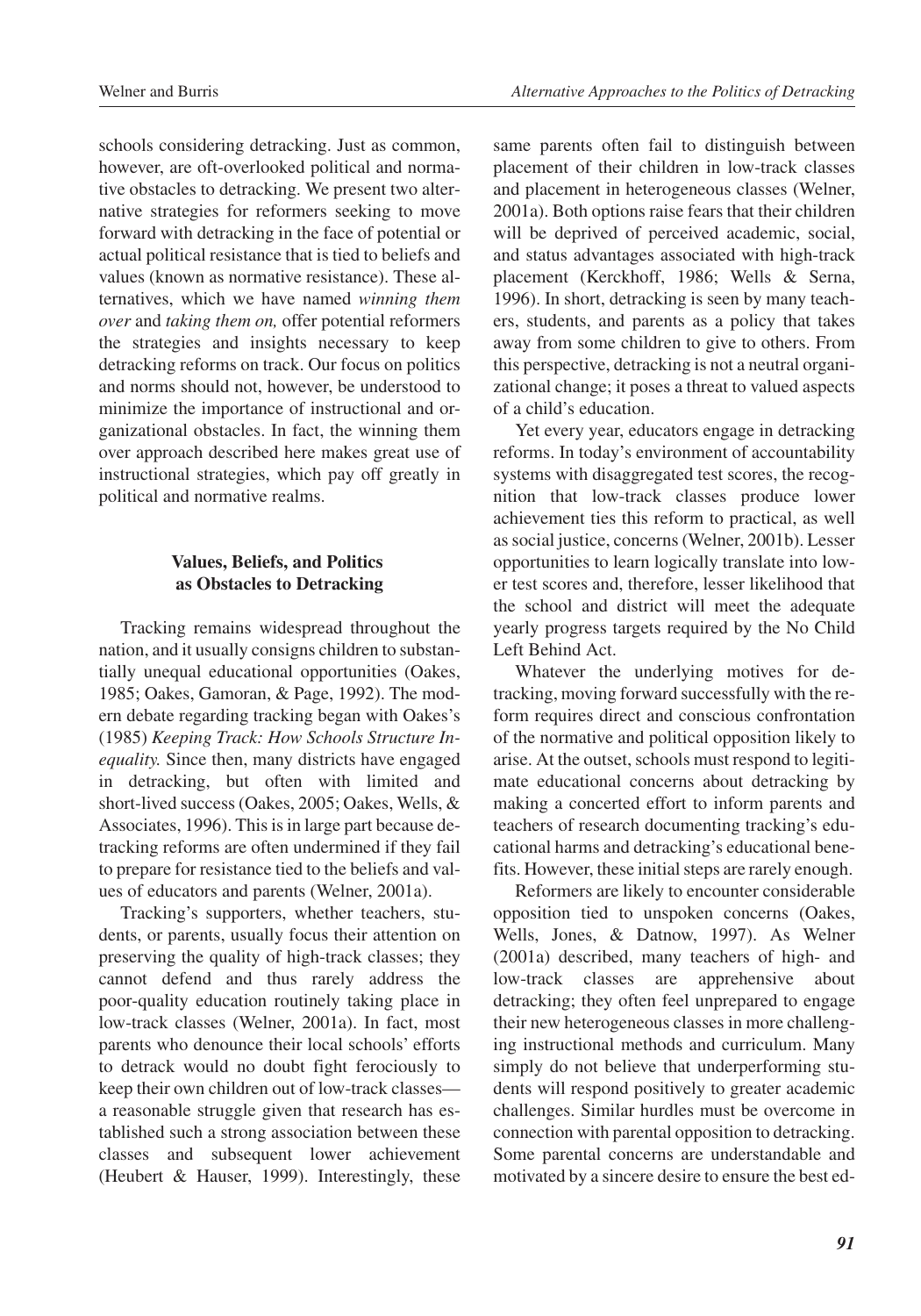schools considering detracking. Just as common, however, are oft-overlooked political and normative obstacles to detracking. We present two alternative strategies for reformers seeking to move forward with detracking in the face of potential or actual political resistance that is tied to beliefs and values (known as normative resistance). These alternatives, which we have named *winning them over* and *taking them on,* offer potential reformers the strategies and insights necessary to keep detracking reforms on track. Our focus on politics and norms should not, however, be understood to minimize the importance of instructional and organizational obstacles. In fact, the winning them over approach described here makes great use of instructional strategies, which pay off greatly in political and normative realms.

## **Values, Beliefs, and Politics as Obstacles to Detracking**

Tracking remains widespread throughout the nation, and it usually consigns children to substantially unequal educational opportunities (Oakes, 1985; Oakes, Gamoran, & Page, 1992). The modern debate regarding tracking began with Oakes's (1985) *Keeping Track: How Schools Structure Inequality.* Since then, many districts have engaged in detracking, but often with limited and short-lived success (Oakes, 2005; Oakes, Wells, & Associates, 1996). This is in large part because detracking reforms are often undermined if they fail to prepare for resistance tied to the beliefs and values of educators and parents (Welner, 2001a).

Tracking's supporters, whether teachers, students, or parents, usually focus their attention on preserving the quality of high-track classes; they cannot defend and thus rarely address the poor-quality education routinely taking place in low-track classes (Welner, 2001a). In fact, most parents who denounce their local schools' efforts to detrack would no doubt fight ferociously to keep their own children out of low-track classes a reasonable struggle given that research has established such a strong association between these classes and subsequent lower achievement (Heubert & Hauser, 1999). Interestingly, these

same parents often fail to distinguish between placement of their children in low-track classes and placement in heterogeneous classes (Welner, 2001a). Both options raise fears that their children will be deprived of perceived academic, social, and status advantages associated with high-track placement (Kerckhoff, 1986; Wells & Serna, 1996). In short, detracking is seen by many teachers, students, and parents as a policy that takes away from some children to give to others. From this perspective, detracking is not a neutral organizational change; it poses a threat to valued aspects of a child's education.

Yet every year, educators engage in detracking reforms. In today's environment of accountability systems with disaggregated test scores, the recognition that low-track classes produce lower achievement ties this reform to practical, as well as social justice, concerns (Welner, 2001b). Lesser opportunities to learn logically translate into lower test scores and, therefore, lesser likelihood that the school and district will meet the adequate yearly progress targets required by the No Child Left Behind Act.

Whatever the underlying motives for detracking, moving forward successfully with the reform requires direct and conscious confrontation of the normative and political opposition likely to arise. At the outset, schools must respond to legitimate educational concerns about detracking by making a concerted effort to inform parents and teachers of research documenting tracking's educational harms and detracking's educational benefits. However, these initial steps are rarely enough.

Reformers are likely to encounter considerable opposition tied to unspoken concerns (Oakes, Wells, Jones, & Datnow, 1997). As Welner (2001a) described, many teachers of high- and low-track classes are apprehensive about detracking; they often feel unprepared to engage their new heterogeneous classes in more challenging instructional methods and curriculum. Many simply do not believe that underperforming students will respond positively to greater academic challenges. Similar hurdles must be overcome in connection with parental opposition to detracking. Some parental concerns are understandable and motivated by a sincere desire to ensure the best ed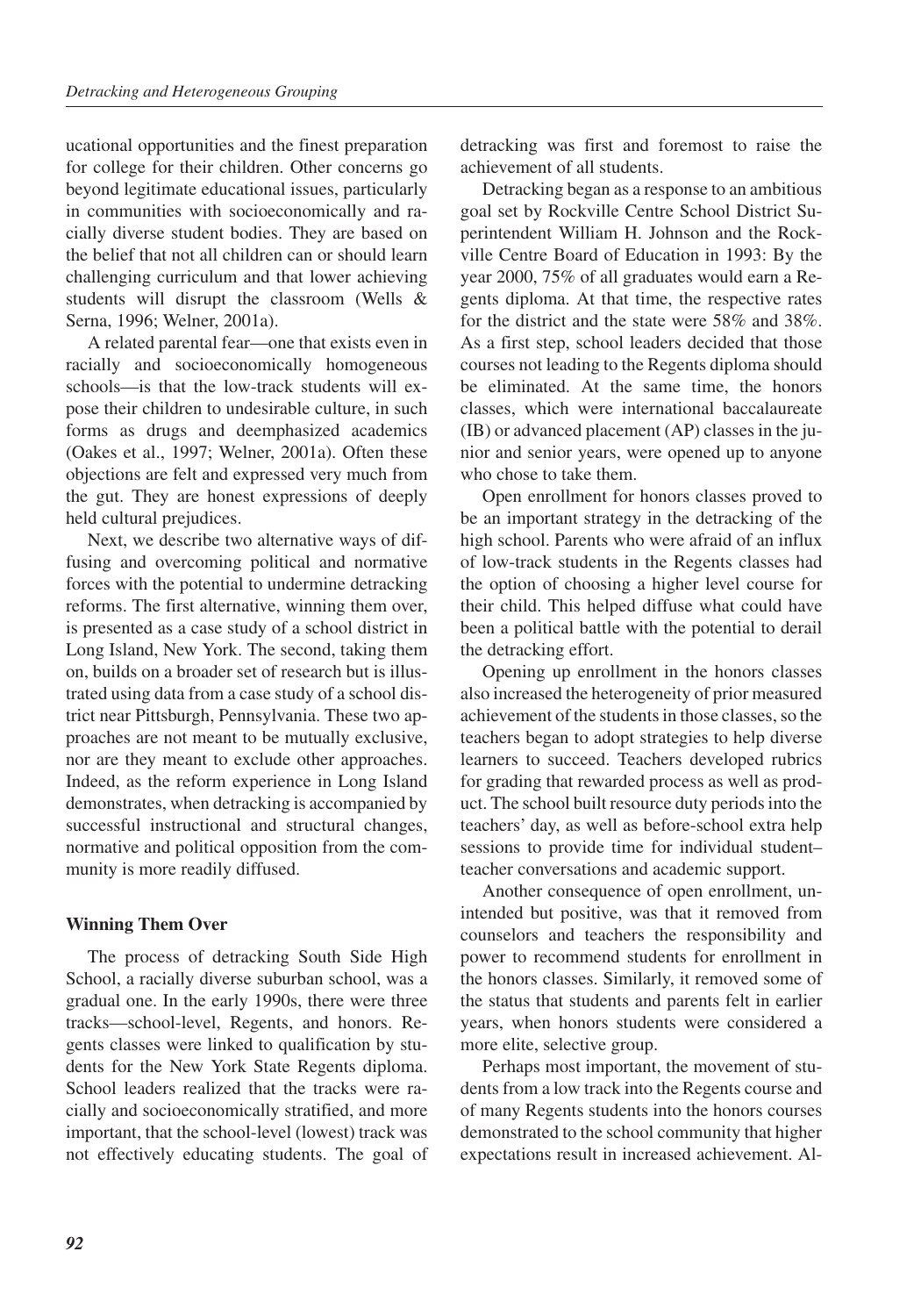ucational opportunities and the finest preparation for college for their children. Other concerns go beyond legitimate educational issues, particularly in communities with socioeconomically and racially diverse student bodies. They are based on the belief that not all children can or should learn challenging curriculum and that lower achieving students will disrupt the classroom (Wells & Serna, 1996; Welner, 2001a).

A related parental fear—one that exists even in racially and socioeconomically homogeneous schools—is that the low-track students will expose their children to undesirable culture, in such forms as drugs and deemphasized academics (Oakes et al., 1997; Welner, 2001a). Often these objections are felt and expressed very much from the gut. They are honest expressions of deeply held cultural prejudices.

Next, we describe two alternative ways of diffusing and overcoming political and normative forces with the potential to undermine detracking reforms. The first alternative, winning them over, is presented as a case study of a school district in Long Island, New York. The second, taking them on, builds on a broader set of research but is illustrated using data from a case study of a school district near Pittsburgh, Pennsylvania. These two approaches are not meant to be mutually exclusive, nor are they meant to exclude other approaches. Indeed, as the reform experience in Long Island demonstrates, when detracking is accompanied by successful instructional and structural changes, normative and political opposition from the community is more readily diffused.

## **Winning Them Over**

The process of detracking South Side High School, a racially diverse suburban school, was a gradual one. In the early 1990s, there were three tracks—school-level, Regents, and honors. Regents classes were linked to qualification by students for the New York State Regents diploma. School leaders realized that the tracks were racially and socioeconomically stratified, and more important, that the school-level (lowest) track was not effectively educating students. The goal of detracking was first and foremost to raise the achievement of all students.

Detracking began as a response to an ambitious goal set by Rockville Centre School District Superintendent William H. Johnson and the Rockville Centre Board of Education in 1993: By the year 2000, 75% of all graduates would earn a Regents diploma. At that time, the respective rates for the district and the state were 58% and 38%. As a first step, school leaders decided that those courses not leading to the Regents diploma should be eliminated. At the same time, the honors classes, which were international baccalaureate (IB) or advanced placement (AP) classes in the junior and senior years, were opened up to anyone who chose to take them.

Open enrollment for honors classes proved to be an important strategy in the detracking of the high school. Parents who were afraid of an influx of low-track students in the Regents classes had the option of choosing a higher level course for their child. This helped diffuse what could have been a political battle with the potential to derail the detracking effort.

Opening up enrollment in the honors classes also increased the heterogeneity of prior measured achievement of the students in those classes, so the teachers began to adopt strategies to help diverse learners to succeed. Teachers developed rubrics for grading that rewarded process as well as product. The school built resource duty periods into the teachers' day, as well as before-school extra help sessions to provide time for individual student– teacher conversations and academic support.

Another consequence of open enrollment, unintended but positive, was that it removed from counselors and teachers the responsibility and power to recommend students for enrollment in the honors classes. Similarly, it removed some of the status that students and parents felt in earlier years, when honors students were considered a more elite, selective group.

Perhaps most important, the movement of students from a low track into the Regents course and of many Regents students into the honors courses demonstrated to the school community that higher expectations result in increased achievement. Al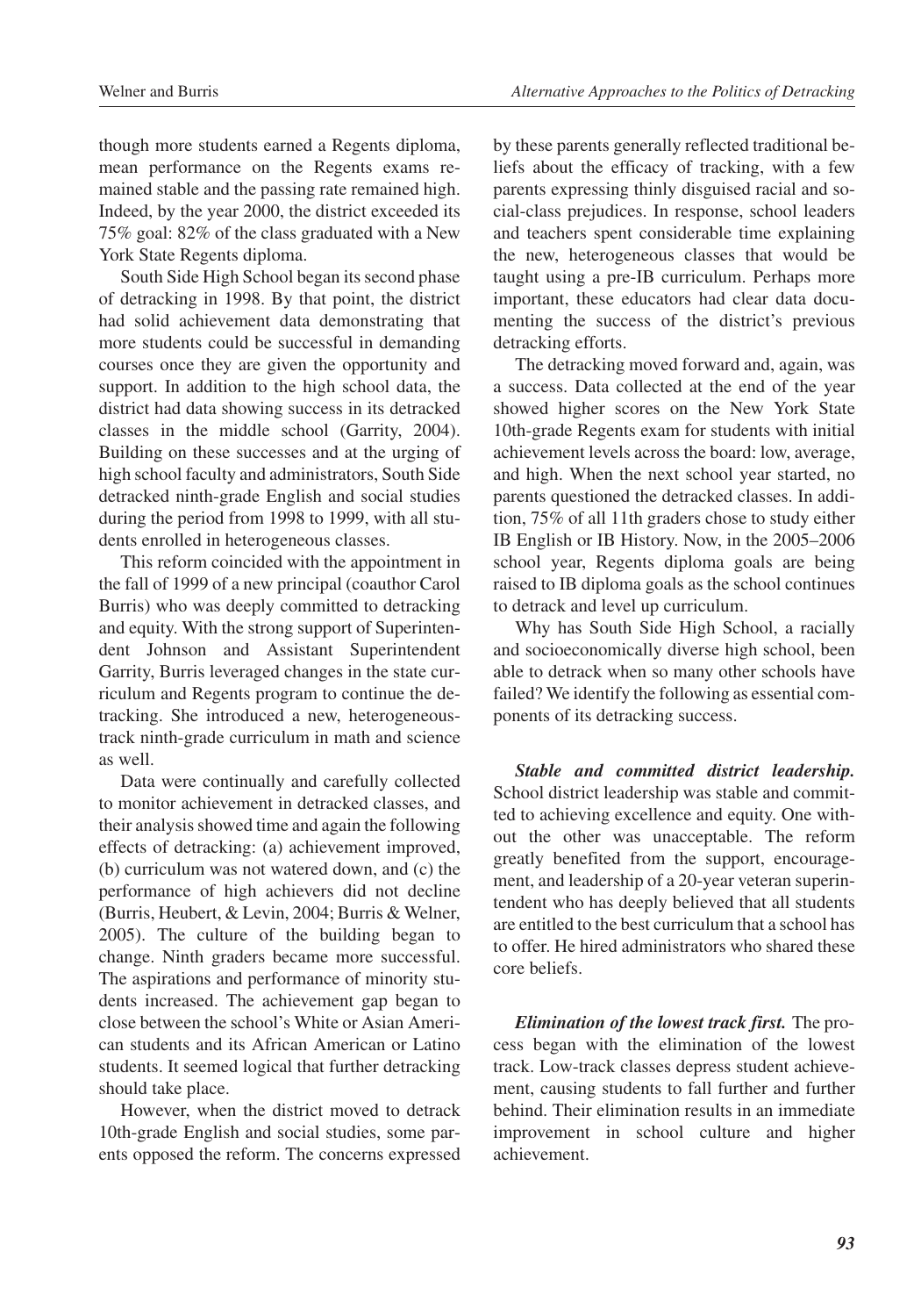though more students earned a Regents diploma, mean performance on the Regents exams remained stable and the passing rate remained high. Indeed, by the year 2000, the district exceeded its 75% goal: 82% of the class graduated with a New York State Regents diploma.

South Side High School began its second phase of detracking in 1998. By that point, the district had solid achievement data demonstrating that more students could be successful in demanding courses once they are given the opportunity and support. In addition to the high school data, the district had data showing success in its detracked classes in the middle school (Garrity, 2004). Building on these successes and at the urging of high school faculty and administrators, South Side detracked ninth-grade English and social studies during the period from 1998 to 1999, with all students enrolled in heterogeneous classes.

This reform coincided with the appointment in the fall of 1999 of a new principal (coauthor Carol Burris) who was deeply committed to detracking and equity. With the strong support of Superintendent Johnson and Assistant Superintendent Garrity, Burris leveraged changes in the state curriculum and Regents program to continue the detracking. She introduced a new, heterogeneoustrack ninth-grade curriculum in math and science as well.

Data were continually and carefully collected to monitor achievement in detracked classes, and their analysis showed time and again the following effects of detracking: (a) achievement improved, (b) curriculum was not watered down, and (c) the performance of high achievers did not decline (Burris, Heubert, & Levin, 2004; Burris & Welner, 2005). The culture of the building began to change. Ninth graders became more successful. The aspirations and performance of minority students increased. The achievement gap began to close between the school's White or Asian American students and its African American or Latino students. It seemed logical that further detracking should take place.

However, when the district moved to detrack 10th-grade English and social studies, some parents opposed the reform. The concerns expressed by these parents generally reflected traditional beliefs about the efficacy of tracking, with a few parents expressing thinly disguised racial and social-class prejudices. In response, school leaders and teachers spent considerable time explaining the new, heterogeneous classes that would be taught using a pre-IB curriculum. Perhaps more important, these educators had clear data documenting the success of the district's previous detracking efforts.

The detracking moved forward and, again, was a success. Data collected at the end of the year showed higher scores on the New York State 10th-grade Regents exam for students with initial achievement levels across the board: low, average, and high. When the next school year started, no parents questioned the detracked classes. In addition, 75% of all 11th graders chose to study either IB English or IB History. Now, in the 2005–2006 school year, Regents diploma goals are being raised to IB diploma goals as the school continues to detrack and level up curriculum.

Why has South Side High School, a racially and socioeconomically diverse high school, been able to detrack when so many other schools have failed? We identify the following as essential components of its detracking success.

*Stable and committed district leadership.* School district leadership was stable and committed to achieving excellence and equity. One without the other was unacceptable. The reform greatly benefited from the support, encouragement, and leadership of a 20-year veteran superintendent who has deeply believed that all students are entitled to the best curriculum that a school has to offer. He hired administrators who shared these core beliefs.

*Elimination of the lowest track first.* The process began with the elimination of the lowest track. Low-track classes depress student achievement, causing students to fall further and further behind. Their elimination results in an immediate improvement in school culture and higher achievement.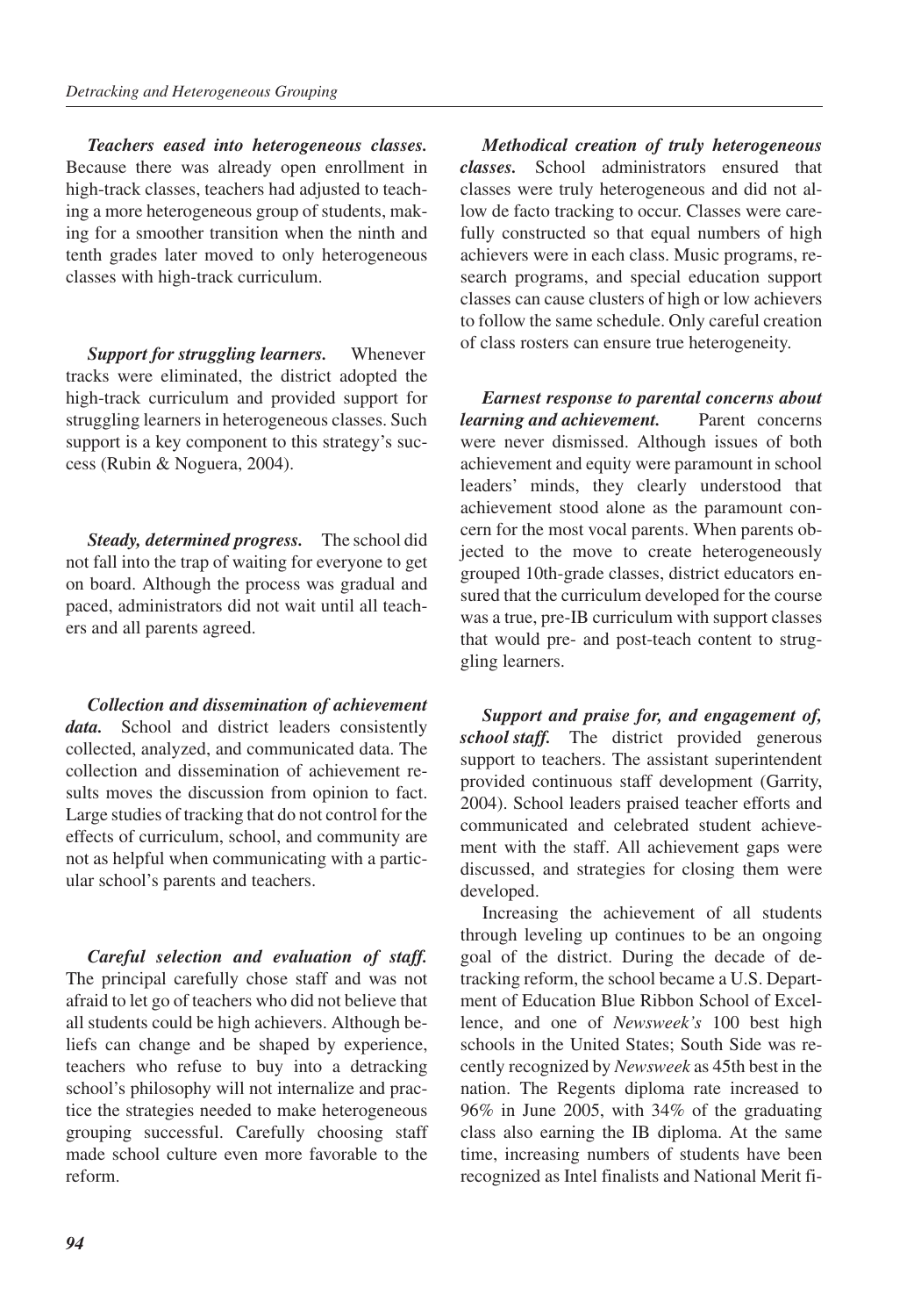*Teachers eased into heterogeneous classes.* Because there was already open enrollment in high-track classes, teachers had adjusted to teaching a more heterogeneous group of students, making for a smoother transition when the ninth and tenth grades later moved to only heterogeneous classes with high-track curriculum.

*Support for struggling learners.* Whenever tracks were eliminated, the district adopted the high-track curriculum and provided support for struggling learners in heterogeneous classes. Such support is a key component to this strategy's success (Rubin & Noguera, 2004).

*Steady, determined progress.* The school did not fall into the trap of waiting for everyone to get on board. Although the process was gradual and paced, administrators did not wait until all teachers and all parents agreed.

*Collection and dissemination of achievement data.* School and district leaders consistently collected, analyzed, and communicated data. The collection and dissemination of achievement results moves the discussion from opinion to fact. Large studies of tracking that do not control for the effects of curriculum, school, and community are not as helpful when communicating with a particular school's parents and teachers.

*Careful selection and evaluation of staff.* The principal carefully chose staff and was not afraid to let go of teachers who did not believe that all students could be high achievers. Although beliefs can change and be shaped by experience, teachers who refuse to buy into a detracking school's philosophy will not internalize and practice the strategies needed to make heterogeneous grouping successful. Carefully choosing staff made school culture even more favorable to the reform.

*Methodical creation of truly heterogeneous classes.* School administrators ensured that classes were truly heterogeneous and did not allow de facto tracking to occur. Classes were carefully constructed so that equal numbers of high achievers were in each class. Music programs, research programs, and special education support classes can cause clusters of high or low achievers to follow the same schedule. Only careful creation of class rosters can ensure true heterogeneity.

*Earnest response to parental concerns about learning and achievement.* Parent concerns were never dismissed. Although issues of both achievement and equity were paramount in school leaders' minds, they clearly understood that achievement stood alone as the paramount concern for the most vocal parents. When parents objected to the move to create heterogeneously grouped 10th-grade classes, district educators ensured that the curriculum developed for the course was a true, pre-IB curriculum with support classes that would pre- and post-teach content to struggling learners.

*Support and praise for, and engagement of, school staff.* The district provided generous support to teachers. The assistant superintendent provided continuous staff development (Garrity, 2004). School leaders praised teacher efforts and communicated and celebrated student achievement with the staff. All achievement gaps were discussed, and strategies for closing them were developed.

Increasing the achievement of all students through leveling up continues to be an ongoing goal of the district. During the decade of detracking reform, the school became a U.S. Department of Education Blue Ribbon School of Excellence, and one of *Newsweek's* 100 best high schools in the United States; South Side was recently recognized by *Newsweek* as 45th best in the nation. The Regents diploma rate increased to 96% in June 2005, with 34% of the graduating class also earning the IB diploma. At the same time, increasing numbers of students have been recognized as Intel finalists and National Merit fi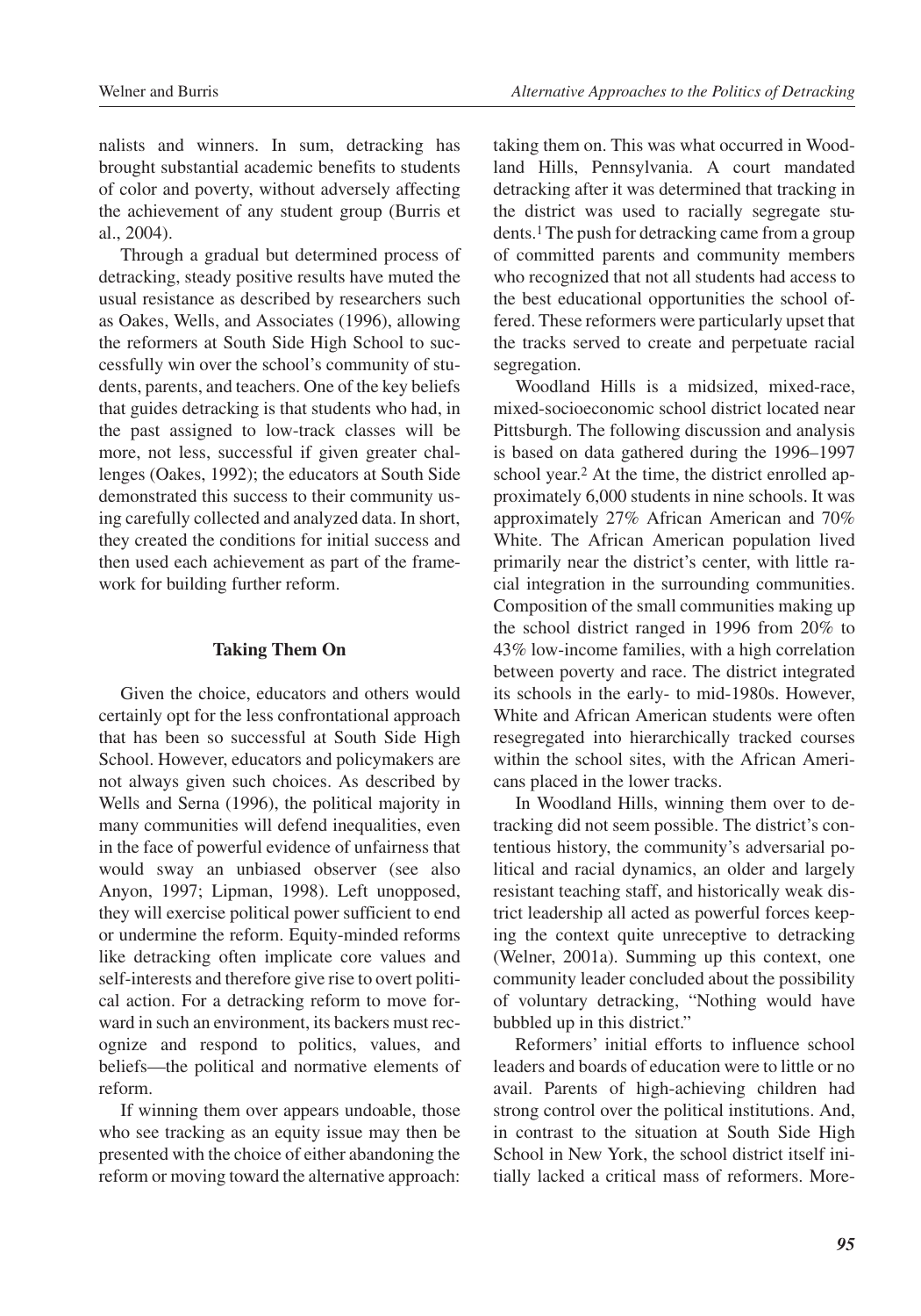nalists and winners. In sum, detracking has brought substantial academic benefits to students of color and poverty, without adversely affecting the achievement of any student group (Burris et al., 2004).

Through a gradual but determined process of detracking, steady positive results have muted the usual resistance as described by researchers such as Oakes, Wells, and Associates (1996), allowing the reformers at South Side High School to successfully win over the school's community of students, parents, and teachers. One of the key beliefs that guides detracking is that students who had, in the past assigned to low-track classes will be more, not less, successful if given greater challenges (Oakes, 1992); the educators at South Side demonstrated this success to their community using carefully collected and analyzed data. In short, they created the conditions for initial success and then used each achievement as part of the framework for building further reform.

#### **Taking Them On**

Given the choice, educators and others would certainly opt for the less confrontational approach that has been so successful at South Side High School. However, educators and policymakers are not always given such choices. As described by Wells and Serna (1996), the political majority in many communities will defend inequalities, even in the face of powerful evidence of unfairness that would sway an unbiased observer (see also Anyon, 1997; Lipman, 1998). Left unopposed, they will exercise political power sufficient to end or undermine the reform. Equity-minded reforms like detracking often implicate core values and self-interests and therefore give rise to overt political action. For a detracking reform to move forward in such an environment, its backers must recognize and respond to politics, values, and beliefs—the political and normative elements of reform.

If winning them over appears undoable, those who see tracking as an equity issue may then be presented with the choice of either abandoning the reform or moving toward the alternative approach: taking them on. This was what occurred in Woodland Hills, Pennsylvania. A court mandated detracking after it was determined that tracking in the district was used to racially segregate students.1The push for detracking came from a group of committed parents and community members who recognized that not all students had access to the best educational opportunities the school offered. These reformers were particularly upset that the tracks served to create and perpetuate racial segregation.

Woodland Hills is a midsized, mixed-race, mixed-socioeconomic school district located near Pittsburgh. The following discussion and analysis is based on data gathered during the 1996–1997 school year.<sup>2</sup> At the time, the district enrolled approximately 6,000 students in nine schools. It was approximately 27% African American and 70% White. The African American population lived primarily near the district's center, with little racial integration in the surrounding communities. Composition of the small communities making up the school district ranged in 1996 from 20% to 43% low-income families, with a high correlation between poverty and race. The district integrated its schools in the early- to mid-1980s. However, White and African American students were often resegregated into hierarchically tracked courses within the school sites, with the African Americans placed in the lower tracks.

In Woodland Hills, winning them over to detracking did not seem possible. The district's contentious history, the community's adversarial political and racial dynamics, an older and largely resistant teaching staff, and historically weak district leadership all acted as powerful forces keeping the context quite unreceptive to detracking (Welner, 2001a). Summing up this context, one community leader concluded about the possibility of voluntary detracking, "Nothing would have bubbled up in this district."

Reformers' initial efforts to influence school leaders and boards of education were to little or no avail. Parents of high-achieving children had strong control over the political institutions. And, in contrast to the situation at South Side High School in New York, the school district itself initially lacked a critical mass of reformers. More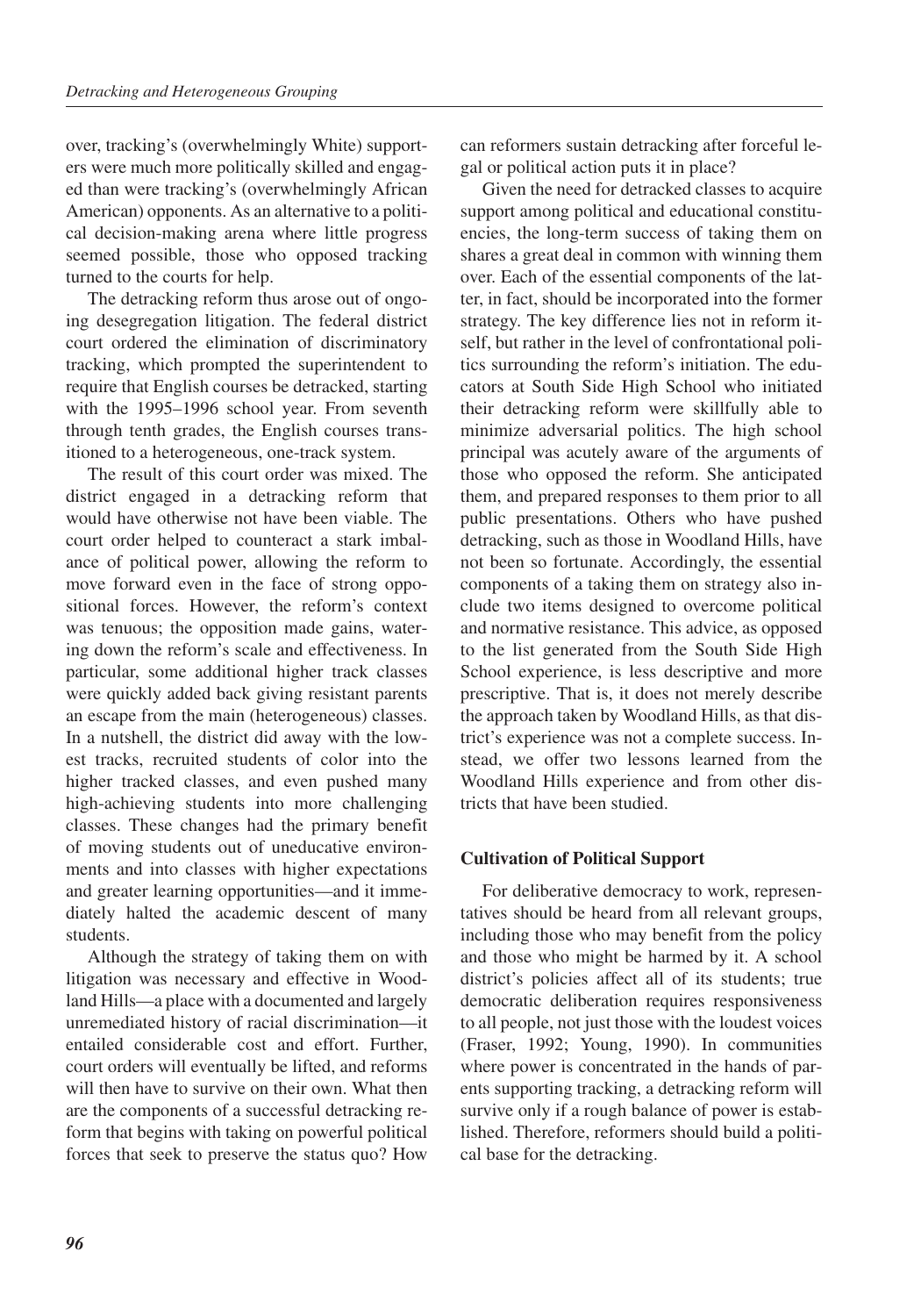over, tracking's (overwhelmingly White) supporters were much more politically skilled and engaged than were tracking's (overwhelmingly African American) opponents. As an alternative to a political decision-making arena where little progress seemed possible, those who opposed tracking turned to the courts for help.

The detracking reform thus arose out of ongoing desegregation litigation. The federal district court ordered the elimination of discriminatory tracking, which prompted the superintendent to require that English courses be detracked, starting with the 1995–1996 school year. From seventh through tenth grades, the English courses transitioned to a heterogeneous, one-track system.

The result of this court order was mixed. The district engaged in a detracking reform that would have otherwise not have been viable. The court order helped to counteract a stark imbalance of political power, allowing the reform to move forward even in the face of strong oppositional forces. However, the reform's context was tenuous; the opposition made gains, watering down the reform's scale and effectiveness. In particular, some additional higher track classes were quickly added back giving resistant parents an escape from the main (heterogeneous) classes. In a nutshell, the district did away with the lowest tracks, recruited students of color into the higher tracked classes, and even pushed many high-achieving students into more challenging classes. These changes had the primary benefit of moving students out of uneducative environments and into classes with higher expectations and greater learning opportunities—and it immediately halted the academic descent of many students.

Although the strategy of taking them on with litigation was necessary and effective in Woodland Hills—a place with a documented and largely unremediated history of racial discrimination—it entailed considerable cost and effort. Further, court orders will eventually be lifted, and reforms will then have to survive on their own. What then are the components of a successful detracking reform that begins with taking on powerful political forces that seek to preserve the status quo? How

can reformers sustain detracking after forceful legal or political action puts it in place?

Given the need for detracked classes to acquire support among political and educational constituencies, the long-term success of taking them on shares a great deal in common with winning them over. Each of the essential components of the latter, in fact, should be incorporated into the former strategy. The key difference lies not in reform itself, but rather in the level of confrontational politics surrounding the reform's initiation. The educators at South Side High School who initiated their detracking reform were skillfully able to minimize adversarial politics. The high school principal was acutely aware of the arguments of those who opposed the reform. She anticipated them, and prepared responses to them prior to all public presentations. Others who have pushed detracking, such as those in Woodland Hills, have not been so fortunate. Accordingly, the essential components of a taking them on strategy also include two items designed to overcome political and normative resistance. This advice, as opposed to the list generated from the South Side High School experience, is less descriptive and more prescriptive. That is, it does not merely describe the approach taken by Woodland Hills, as that district's experience was not a complete success. Instead, we offer two lessons learned from the Woodland Hills experience and from other districts that have been studied.

## **Cultivation of Political Support**

For deliberative democracy to work, representatives should be heard from all relevant groups, including those who may benefit from the policy and those who might be harmed by it. A school district's policies affect all of its students; true democratic deliberation requires responsiveness to all people, not just those with the loudest voices (Fraser, 1992; Young, 1990). In communities where power is concentrated in the hands of parents supporting tracking, a detracking reform will survive only if a rough balance of power is established. Therefore, reformers should build a political base for the detracking.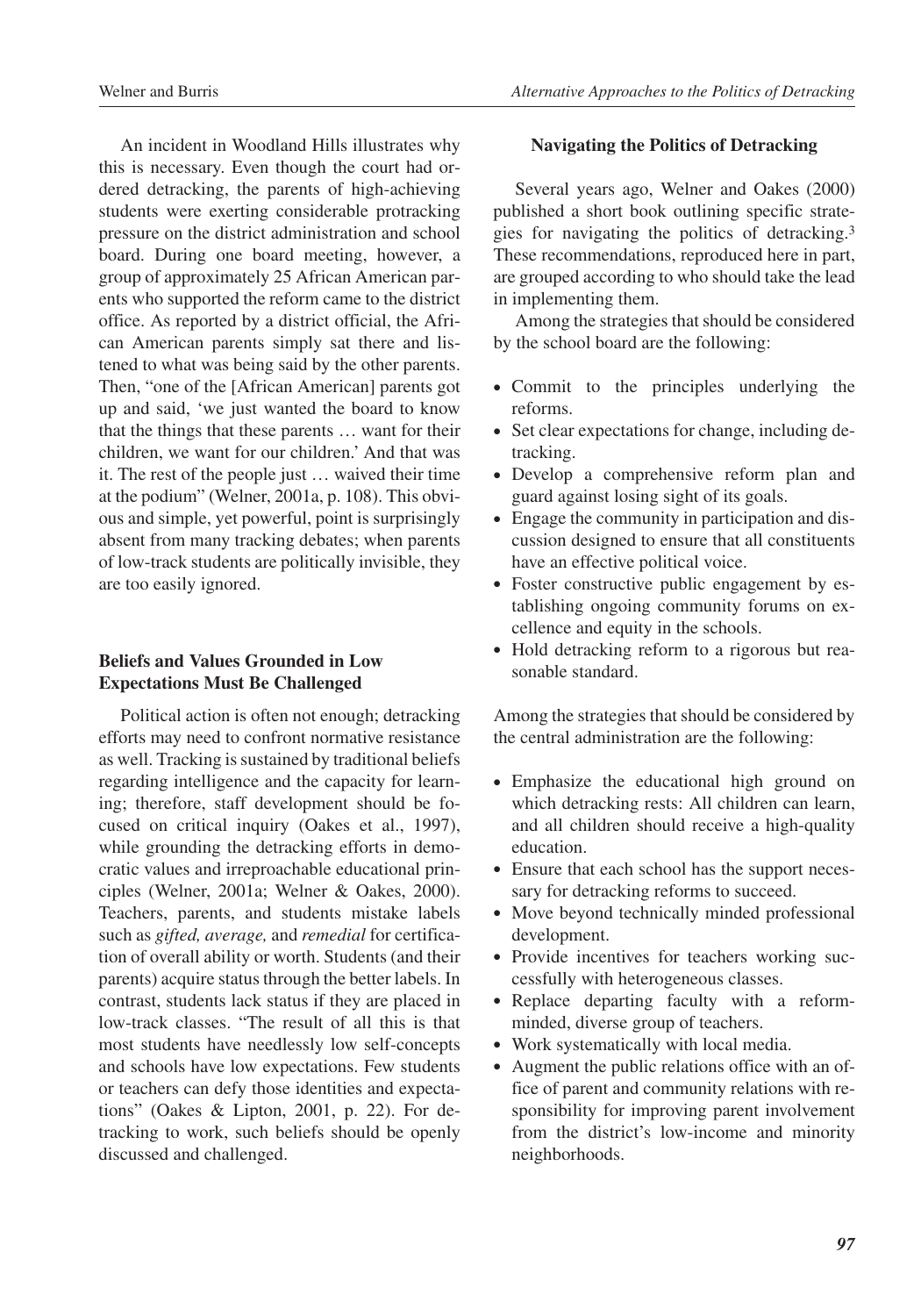An incident in Woodland Hills illustrates why this is necessary. Even though the court had ordered detracking, the parents of high-achieving students were exerting considerable protracking pressure on the district administration and school board. During one board meeting, however, a group of approximately 25 African American parents who supported the reform came to the district office. As reported by a district official, the African American parents simply sat there and listened to what was being said by the other parents. Then, "one of the [African American] parents got up and said, 'we just wanted the board to know that the things that these parents … want for their children, we want for our children.' And that was it. The rest of the people just … waived their time at the podium" (Welner, 2001a, p. 108). This obvious and simple, yet powerful, point is surprisingly absent from many tracking debates; when parents of low-track students are politically invisible, they are too easily ignored.

# **Beliefs and Values Grounded in Low Expectations Must Be Challenged**

Political action is often not enough; detracking efforts may need to confront normative resistance as well. Tracking is sustained by traditional beliefs regarding intelligence and the capacity for learning; therefore, staff development should be focused on critical inquiry (Oakes et al., 1997), while grounding the detracking efforts in democratic values and irreproachable educational principles (Welner, 2001a; Welner & Oakes, 2000). Teachers, parents, and students mistake labels such as *gifted, average,* and *remedial* for certification of overall ability or worth. Students (and their parents) acquire status through the better labels. In contrast, students lack status if they are placed in low-track classes. "The result of all this is that most students have needlessly low self-concepts and schools have low expectations. Few students or teachers can defy those identities and expectations" (Oakes & Lipton, 2001, p. 22). For detracking to work, such beliefs should be openly discussed and challenged.

## **Navigating the Politics of Detracking**

Several years ago, Welner and Oakes (2000) published a short book outlining specific strategies for navigating the politics of detracking.<sup>3</sup> These recommendations, reproduced here in part, are grouped according to who should take the lead in implementing them.

Among the strategies that should be considered by the school board are the following:

- Commit to the principles underlying the reforms.
- Set clear expectations for change, including detracking.
- Develop a comprehensive reform plan and guard against losing sight of its goals.
- Engage the community in participation and discussion designed to ensure that all constituents have an effective political voice.
- Foster constructive public engagement by establishing ongoing community forums on excellence and equity in the schools.
- Hold detracking reform to a rigorous but reasonable standard.

Among the strategies that should be considered by the central administration are the following:

- Emphasize the educational high ground on which detracking rests: All children can learn, and all children should receive a high-quality education.
- Ensure that each school has the support necessary for detracking reforms to succeed.
- Move beyond technically minded professional development.
- Provide incentives for teachers working successfully with heterogeneous classes.
- Replace departing faculty with a reformminded, diverse group of teachers.
- Work systematically with local media.
- Augment the public relations office with an office of parent and community relations with responsibility for improving parent involvement from the district's low-income and minority neighborhoods.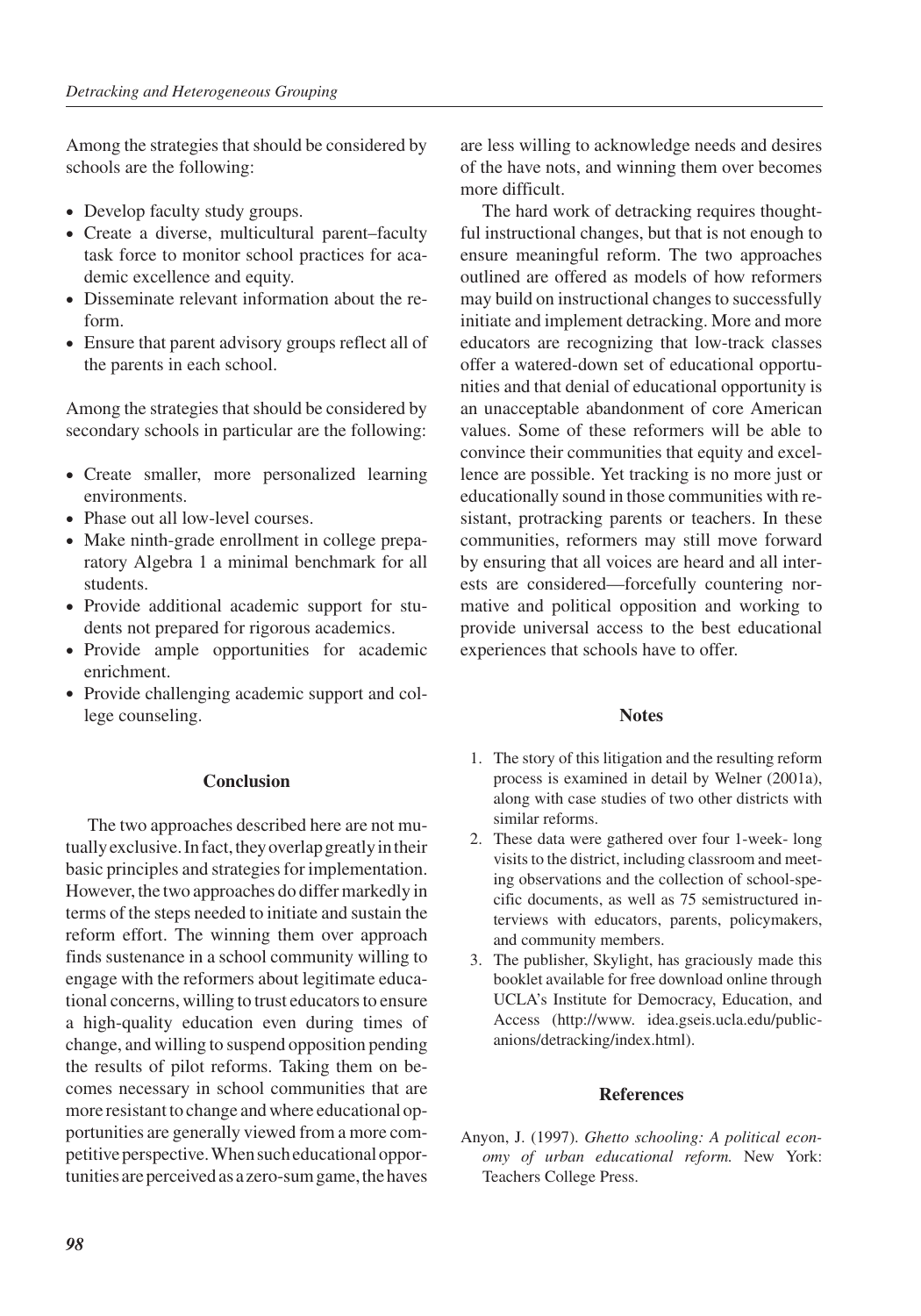Among the strategies that should be considered by schools are the following:

- Develop faculty study groups.
- Create a diverse, multicultural parent–faculty task force to monitor school practices for academic excellence and equity.
- Disseminate relevant information about the reform.
- Ensure that parent advisory groups reflect all of the parents in each school.

Among the strategies that should be considered by secondary schools in particular are the following:

- Create smaller, more personalized learning environments.
- Phase out all low-level courses.
- Make ninth-grade enrollment in college preparatory Algebra 1 a minimal benchmark for all students.
- Provide additional academic support for students not prepared for rigorous academics.
- Provide ample opportunities for academic enrichment.
- Provide challenging academic support and college counseling.

## **Conclusion**

The two approaches described here are not mutually exclusive. In fact, they overlap greatly in their basic principles and strategies for implementation. However, the two approaches do differ markedly in terms of the steps needed to initiate and sustain the reform effort. The winning them over approach finds sustenance in a school community willing to engage with the reformers about legitimate educational concerns, willing to trust educators to ensure a high-quality education even during times of change, and willing to suspend opposition pending the results of pilot reforms. Taking them on becomes necessary in school communities that are more resistant to change and where educational opportunities are generally viewed from a more competitive perspective. When such educational opportunities are perceived as a zero-sum game, the haves

are less willing to acknowledge needs and desires of the have nots, and winning them over becomes more difficult.

The hard work of detracking requires thoughtful instructional changes, but that is not enough to ensure meaningful reform. The two approaches outlined are offered as models of how reformers may build on instructional changes to successfully initiate and implement detracking. More and more educators are recognizing that low-track classes offer a watered-down set of educational opportunities and that denial of educational opportunity is an unacceptable abandonment of core American values. Some of these reformers will be able to convince their communities that equity and excellence are possible. Yet tracking is no more just or educationally sound in those communities with resistant, protracking parents or teachers. In these communities, reformers may still move forward by ensuring that all voices are heard and all interests are considered—forcefully countering normative and political opposition and working to provide universal access to the best educational experiences that schools have to offer.

### **Notes**

- 1. The story of this litigation and the resulting reform process is examined in detail by Welner (2001a), along with case studies of two other districts with similar reforms.
- 2. These data were gathered over four 1-week- long visits to the district, including classroom and meeting observations and the collection of school-specific documents, as well as 75 semistructured interviews with educators, parents, policymakers, and community members.
- 3. The publisher, Skylight, has graciously made this booklet available for free download online through UCLA's Institute for Democracy, Education, and Access (http://www. idea.gseis.ucla.edu/publicanions/detracking/index.html).

## **References**

Anyon, J. (1997). *Ghetto schooling: A political economy of urban educational reform.* New York: Teachers College Press.